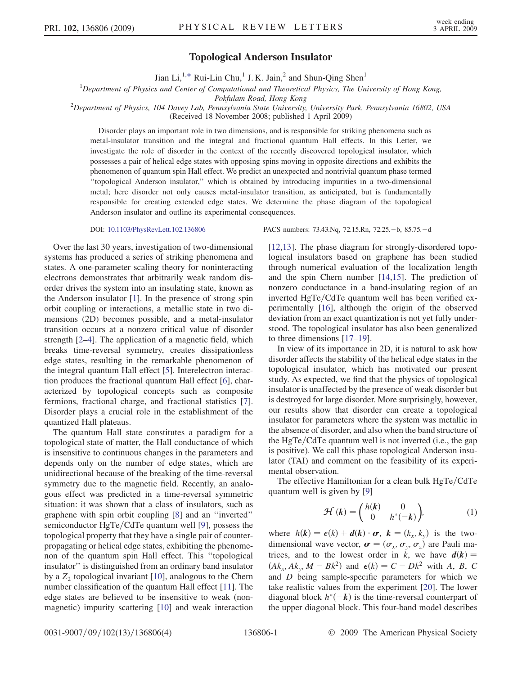## Topological Anderson Insulator

Jian Li,<sup>1[,\\*](#page-3-0)</sup> Rui-Lin Chu,<sup>1</sup> J. K. Jain,<sup>2</sup> and Shun-Qing Shen<sup>1</sup>

<sup>1</sup>Department of Physics and Center of Computational and Theoretical Physics, The University of Hong Kong,

Pokfulam Road, Hong Kong<br><sup>2</sup>Department of Physics, 104 Davey Lab, Pennsylvania State University, University Park, Pennsylvania 16802, USA

(Received 18 November 2008; published 1 April 2009)

Disorder plays an important role in two dimensions, and is responsible for striking phenomena such as metal-insulator transition and the integral and fractional quantum Hall effects. In this Letter, we investigate the role of disorder in the context of the recently discovered topological insulator, which possesses a pair of helical edge states with opposing spins moving in opposite directions and exhibits the phenomenon of quantum spin Hall effect. We predict an unexpected and nontrivial quantum phase termed ''topological Anderson insulator,'' which is obtained by introducing impurities in a two-dimensional metal; here disorder not only causes metal-insulator transition, as anticipated, but is fundamentally responsible for creating extended edge states. We determine the phase diagram of the topological Anderson insulator and outline its experimental consequences.

Over the last 30 years, investigation of two-dimensional systems has produced a series of striking phenomena and states. A one-parameter scaling theory for noninteracting electrons demonstrates that arbitrarily weak random disorder drives the system into an insulating state, known as the Anderson insulator [1]. In the presence of strong spin orbit coupling or interactions, a metallic state in two dimensions (2D) becomes possible, and a metal-insulator transition occurs at a nonzero critical value of disorder strength [2–4]. The application of a magnetic field, which breaks time-reversal symmetry, creates dissipationless edge states, resulting in the remarkable phenomenon of the integral quantum Hall effect [5]. Interelectron interaction produces the fractional quantum Hall effect [6], characterized by topological concepts such as composite fermions, fractional charge, and fractional statistics [7]. Disorder plays a crucial role in the establishment of the quantized Hall plateaus.

The quantum Hall state constitutes a paradigm for a topological state of matter, the Hall conductance of which is insensitive to continuous changes in the parameters and depends only on the number of edge states, which are unidirectional because of the breaking of the time-reversal symmetry due to the magnetic field. Recently, an analogous effect was predicted in a time-reversal symmetric situation: it was shown that a class of insulators, such as graphene with spin orbit coupling [8] and an ''inverted'' semiconductor  $HgTe/CdTe$  quantum well [9], possess the topological property that they have a single pair of counterpropagating or helical edge states, exhibiting the phenomenon of the quantum spin Hall effect. This ''topological insulator'' is distinguished from an ordinary band insulator by a  $Z_2$  topological invariant [10], analogous to the Chern number classification of the quantum Hall effect [11]. The edge states are believed to be insensitive to weak (nonmagnetic) impurity scattering [10] and weak interaction

DOI: [10.1103/PhysRevLett.102.136806](http://dx.doi.org/10.1103/PhysRevLett.102.136806) PACS numbers: 73.43.Nq, 72.15.Rn, 72.25. -b, 85.75. -d

[12,13]. The phase diagram for strongly-disordered topological insulators based on graphene has been studied through numerical evaluation of the localization length and the spin Chern number [14,15]. The prediction of nonzero conductance in a band-insulating region of an inverted HgTe/CdTe quantum well has been verified experimentally [16], although the origin of the observed deviation from an exact quantization is not yet fully understood. The topological insulator has also been generalized to three dimensions [17–19].

In view of its importance in 2D, it is natural to ask how disorder affects the stability of the helical edge states in the topological insulator, which has motivated our present study. As expected, we find that the physics of topological insulator is unaffected by the presence of weak disorder but is destroyed for large disorder. More surprisingly, however, our results show that disorder can create a topological insulator for parameters where the system was metallic in the absence of disorder, and also when the band structure of the  $HgTe/CdTe$  quantum well is not inverted (i.e., the gap is positive). We call this phase topological Anderson insulator (TAI) and comment on the feasibility of its experimental observation.

The effective Hamiltonian for a clean bulk  $HgTe/CdTe$ quantum well is given by [9]

$$
\mathcal{H}\left(k\right) = \begin{pmatrix} h(k) & 0\\ 0 & h^*(-k) \end{pmatrix},\tag{1}
$$

where  $h(\mathbf{k}) = \epsilon(k) + \mathbf{d}(\mathbf{k}) \cdot \boldsymbol{\sigma}$ ,  $\mathbf{k} = (k_x, k_y)$  is the twodimensional wave vector,  $\boldsymbol{\sigma} = (\sigma_x, \sigma_y, \sigma_z)$  are Pauli matrices and to the lowest order in k we have  $d(\boldsymbol{k}) =$ trices, and to the lowest order in k, we have  $d(k) =$ <br>(Ak, Ak,  $M = BL^2$ ) and  $\epsilon(k) = C - DL^2$  with A, B, C  $(Ak_{y}, Ak_{y}, M - Bk^{2})$  and  $\epsilon(k) = C - Dk^{2}$  with A, B, C and D being sample-specific parameters for which we take realistic values from the experiment [20]. The lower diagonal block  $h^*(-k)$  is the time-reversal counterpart of the unner diagonal block. This four-band model describes the upper diagonal block. This four-band model describes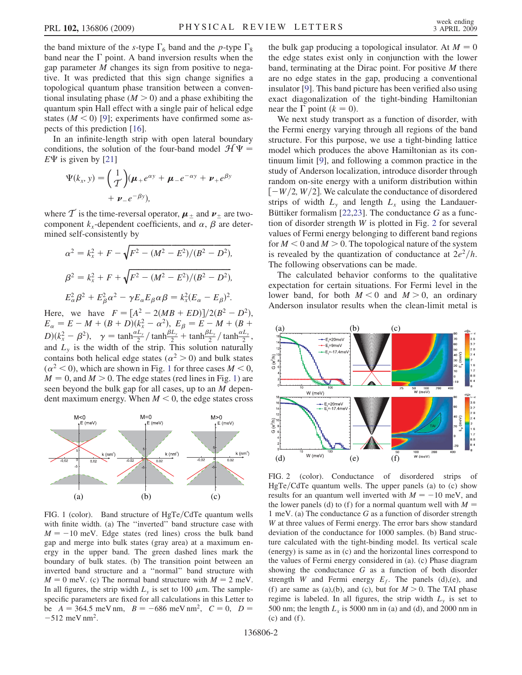<span id="page-1-0"></span>the band mixture of the s-type  $\Gamma_6$  band and the p-type  $\Gamma_8$ band near the  $\Gamma$  point. A band inversion results when the gap parameter M changes its sign from positive to negative. It was predicted that this sign change signifies a topological quantum phase transition between a conventional insulating phase  $(M > 0)$  and a phase exhibiting the quantum spin Hall effect with a single pair of helical edge states  $(M < 0)$  [9]; experiments have confirmed some aspects of this prediction [16].

In an infinite-length strip with open lateral boundary conditions, the solution of the four-band model  $\mathcal{H}\Psi =$  $E\Psi$  is given by [21]

$$
\Psi(k_x, y) = \left(\frac{1}{\mathcal{I}}\right)(\boldsymbol{\mu}_+ e^{\alpha y} + \boldsymbol{\mu}_- e^{-\alpha y} + \boldsymbol{\nu}_+ e^{\beta y} \n+ \boldsymbol{\nu}_- e^{-\beta y}),
$$

where T is the time-reversal operator,  $\mu_{\pm}$  and  $\nu_{\pm}$  are twocomponent  $k_x$ -dependent coefficients, and  $\alpha$ ,  $\beta$  are determined self-consistently by

$$
\alpha^2 = k_x^2 + F - \sqrt{F^2 - (M^2 - E^2)/(B^2 - D^2)},
$$
  
\n
$$
\beta^2 = k_x^2 + F + \sqrt{F^2 - (M^2 - E^2)/(B^2 - D^2)},
$$
  
\n
$$
E_\alpha^2 \beta^2 + E_\beta^2 \alpha^2 - \gamma E_\alpha E_\beta \alpha \beta = k_x^2 (E_\alpha - E_\beta)^2.
$$

Here, we have  $F = [A^2 - 2(MB + ED)]/2(B^2 - D^2)$ ,<br>  $F = F - M + (B + D)(k^2 - \alpha^2)$ ,  $F = F - M + (B + D)$  $E_{\alpha} = E - M + (B + D)(k_x^2 - \alpha^2), E_{\beta} = E - M + (B + D)(l_x^2 - \alpha^2)$  $D(k_x^2 - \beta^2)$ ,  $\gamma = \tanh \frac{\alpha L_y}{2} / \tanh \frac{\beta L_y}{2} + \tanh \frac{\beta L_y}{2} / \tanh \frac{\alpha L_y}{2}$ , and  $L<sub>v</sub>$  is the width of the strip. This solution naturally contains both helical edge states ( $\alpha^2 > 0$ ) and bulk states  $(\alpha^2 < 0)$ , which are shown in Fig. 1 for three cases  $M < 0$ ,  $M = 0$ , and  $M > 0$ . The edge states (red lines in Fig. 1) are seen beyond the bulk gap for all cases, up to an M dependent maximum energy. When  $M < 0$ , the edge states cross



FIG. 1 (color). Band structure of HgTe/CdTe quantum wells with finite width. (a) The ''inverted'' band structure case with  $M = -10$  meV. Edge states (red lines) cross the bulk band gap and merge into bulk states (gray area) at a maximum energy in the upper band. The green dashed lines mark the boundary of bulk states. (b) The transition point between an inverted band structure and a ''normal'' band structure with  $M = 0$  meV. (c) The normal band structure with  $M = 2$  meV. In all figures, the strip width  $L<sub>y</sub>$  is set to 100  $\mu$ m. The samplespecific parameters are fixed for all calculations in this Letter to be  $A = 364.5$  meV nm,  $B = -686$  meV nm<sup>2</sup>,  $C = 0$ ,  $D =$  $-512$  meV nm<sup>2</sup>.

the bulk gap producing a topological insulator. At  $M = 0$ the edge states exist only in conjunction with the lower band, terminating at the Dirac point. For positive  $M$  there are no edge states in the gap, producing a conventional insulator [9]. This band picture has been verified also using exact diagonalization of the tight-binding Hamiltonian near the  $\Gamma$  point  $(k = 0)$ .

We next study transport as a function of disorder, with the Fermi energy varying through all regions of the band structure. For this purpose, we use a tight-binding lattice model which produces the above Hamiltonian as its continuum limit [9], and following a common practice in the study of Anderson localization, introduce disorder through random on-site energy with a uniform distribution within  $[-W/2, W/2]$ . We calculate the conductance of disordered strips of width  $L<sub>y</sub>$  and length  $L<sub>x</sub>$  using the Landauer-Büttiker formalism  $[22,23]$ . The conductance G as a function of disorder strength W is plotted in Fig. <sup>2</sup> for several values of Fermi energy belonging to different band regions for  $M < 0$  and  $M > 0$ . The topological nature of the system is revealed by the quantization of conductance at  $2e^2/h$ . The following observations can be made.

The calculated behavior conforms to the qualitative expectation for certain situations. For Fermi level in the lower band, for both  $M < 0$  and  $M > 0$ , an ordinary Anderson insulator results when the clean-limit metal is



FIG. 2 (color). Conductance of disordered strips of  $HgTe/CdTe$  quantum wells. The upper panels (a) to (c) show results for an quantum well inverted with  $M = -10$  meV, and the lower panels (d) to (f) for a normal quantum well with  $M =$ 1 meV. (a) The conductance G as a function of disorder strength W at three values of Fermi energy. The error bars show standard deviation of the conductance for 1000 samples. (b) Band structure calculated with the tight-binding model. Its vertical scale (energy) is same as in (c) and the horizontal lines correspond to the values of Fermi energy considered in (a). (c) Phase diagram showing the conductance G as a function of both disorder strength W and Fermi energy  $E_f$ . The panels (d),(e), and (f) are same as (a),(b), and (c), but for  $M > 0$ . The TAI phase regime is labeled. In all figures, the strip width  $L<sub>y</sub>$  is set to 500 nm; the length  $L<sub>x</sub>$  is 5000 nm in (a) and (d), and 2000 nm in  $(c)$  and  $(f)$ .

136806-2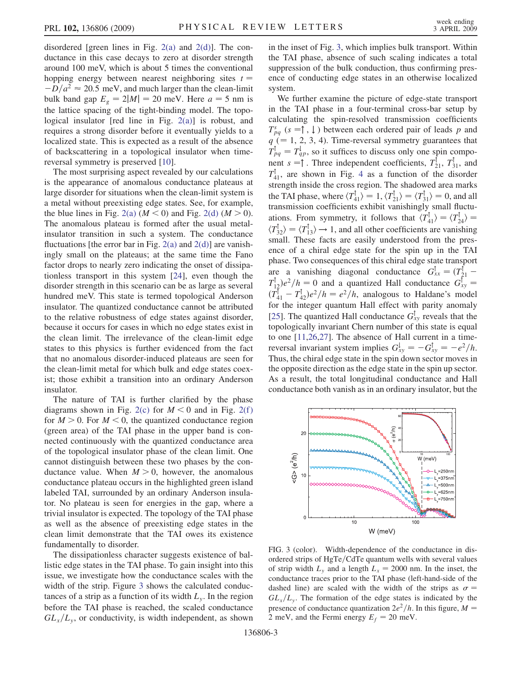<span id="page-2-0"></span>disordered [green lines in Fig.  $2(a)$  and  $2(d)$ ]. The conductance in this case decays to zero at disorder strength around 100 meV, which is about 5 times the conventional hopping energy between nearest neighboring sites  $t =$  $-D/a^2 \approx 20.5$  meV, and much larger than the clean-limit bulk band gap  $E_g = 2|M| = 20$  meV. Here  $a = 5$  nm is the lattice spacing of the tight-binding model. The topological insulator [red line in Fig. [2\(a\)\]](#page-1-0) is robust, and requires a strong disorder before it eventually yields to a localized state. This is expected as a result of the absence of backscattering in a topological insulator when timereversal symmetry is preserved [10].

The most surprising aspect revealed by our calculations is the appearance of anomalous conductance plateaus at large disorder for situations when the clean-limit system is a metal without preexisting edge states. See, for example, the blue lines in Fig. [2\(a\)](#page-1-0)  $(M < 0)$  and Fig. [2\(d\)](#page-1-0)  $(M > 0)$ . The anomalous plateau is formed after the usual metalinsulator transition in such a system. The conductance fluctuations [the error bar in Fig.  $2(a)$  and  $2(d)$ ] are vanishingly small on the plateaus; at the same time the Fano factor drops to nearly zero indicating the onset of dissipationless transport in this system [24], even though the disorder strength in this scenario can be as large as several hundred meV. This state is termed topological Anderson insulator. The quantized conductance cannot be attributed to the relative robustness of edge states against disorder, because it occurs for cases in which no edge states exist in the clean limit. The irrelevance of the clean-limit edge states to this physics is further evidenced from the fact that no anomalous disorder-induced plateaus are seen for the clean-limit metal for which bulk and edge states coexist; those exhibit a transition into an ordinary Anderson insulator.

The nature of TAI is further clarified by the phase diagrams shown in Fig. [2\(c\)](#page-1-0) for  $M < 0$  and in Fig. 2(f) for  $M > 0$ . For  $M < 0$ , the quantized conductance region (green area) of the TAI phase in the upper band is connected continuously with the quantized conductance area of the topological insulator phase of the clean limit. One cannot distinguish between these two phases by the conductance value. When  $M > 0$ , however, the anomalous conductance plateau occurs in the highlighted green island labeled TAI, surrounded by an ordinary Anderson insulator. No plateau is seen for energies in the gap, where a trivial insulator is expected. The topology of the TAI phase as well as the absence of preexisting edge states in the clean limit demonstrate that the TAI owes its existence fundamentally to disorder.

The dissipationless character suggests existence of ballistic edge states in the TAI phase. To gain insight into this issue, we investigate how the conductance scales with the width of the strip. Figure 3 shows the calculated conductances of a strip as a function of its width  $L<sub>v</sub>$ . In the region before the TAI phase is reached, the scaled conductance  $GL_x/L_y$ , or conductivity, is width independent, as shown in the inset of Fig. 3, which implies bulk transport. Within the TAI phase, absence of such scaling indicates a total suppression of the bulk conduction, thus confirming presence of conducting edge states in an otherwise localized system.

We further examine the picture of edge-state transport in the TAI phase in a four-terminal cross-bar setup by calculating the spin-resolved transmission coefficients  $T_{pq}^s$  (s =  $\uparrow$ ,  $\downarrow$ ) between each ordered pair of leads p and<br> $q$  ( = 1.2.3.4). Time reversel symmetry quarantees that  $q$  (= 1, 2, 3, 4). Time-reversal symmetry guarantees that  $T_{pq}^{\dagger} = T_{qp}^{\dagger}$ , so it suffices to discuss only one spin component  $s = 1$ . Three independent coefficients  $T_{\perp}^{\dagger} = T_{\perp}^{\dagger}$  and nent  $s = \uparrow$ . Three independent coefficients,  $T_{21}^{\uparrow}$ ,  $T_{31}^{\uparrow}$ , and  $T_{\uparrow}^{\uparrow}$  are shown in Fig. 4, as a function of the disorder  $T_{41}^{\perp}$  $T_{41}^{\perp}$  $T_{41}^{\perp}$ , are shown in Fig. 4 as a function of the disorder<br>strength inside the cross region. The shadowed area marks strength inside the cross region. The shadowed area marks the TAI phase, where  $\langle T_{41}^1 \rangle = 1$ ,  $\langle T_{21}^1 \rangle = \langle T_{31}^1 \rangle = 0$ , and all function-<br>transmission coefficients exhibit vanishingly small fluctutransmission coefficients exhibit vanishingly small fluctuations. From symmetry, it follows that  $\langle T_{41}^1 \rangle = \langle T_{24}^1 \rangle =$ <br> $\langle T_{11}^1 \rangle = \langle T_{11}^1 \rangle = 1$  and all other coefficients are venishing  $\langle T_{32}^{\dagger} \rangle = \langle T_{13}^{\dagger} \rangle \rightarrow 1$ , and all other coefficients are vanishing<br>small. These facts are easily understood from the pressmall. These facts are easily understood from the presence of a chiral edge state for the spin up in the TAI phase. Two consequences of this chiral edge state transport are a vanishing diagonal conductance  $G_{xx}^{\dagger} = (T_{21}^{\dagger} - T_{31}^{\dagger})a^2/b = 0$  and a quantized Hall conductance  $G_{\dagger}^{\dagger}$  $T_{12}^{\dagger}$ ) $e^2/h = 0$  and a quantized Hall conductance  $G_{xy}^{\dagger} =$ <br> $(T_{12}^{\dagger} - T_{13})a^2/h = a^2/h$  analogous to Haldana's model  $(T_{41}^{\dagger} - T_{42}^{\dagger})e^2/h = e^2/h$ , analogous to Haldane's model<br>for the integer quantum Hall effect with parity anomaly for the integer quantum Hall effect with parity anomaly [25]. The quantized Hall conductance  $G_{xy}^{\dagger}$  reveals that the topologically invariant Chern number of this state is equal topologically invariant Chern number of this state is equal to one [11,26,27]. The absence of Hall current in a timereversal invariant system implies  $G_{xy}^{\perp} = -G_{xy}^{\uparrow} = -e^2/h$ .<br>Thus the chiral edge state in the spin down sector moves in Thus, the chiral edge state in the spin down sector moves in the opposite direction as the edge state in the spin up sector. As a result, the total longitudinal conductance and Hall conductance both vanish as in an ordinary insulator, but the



FIG. 3 (color). Width-dependence of the conductance in disordered strips of  $HgTe/CdTe$  quantum wells with several values of strip width  $L<sub>v</sub>$  and a length  $L<sub>x</sub> = 2000$  nm. In the inset, the conductance traces prior to the TAI phase (left-hand-side of the dashed line) are scaled with the width of the strips as  $\sigma =$ <br>*GI* /*I* The formation of the edge states is indicated by the  $GL_x/L_y$ . The formation of the edge states is indicated by the presence of conductance quantization  $2e^2/h$ . In this figure,  $M =$ 2 meV, and the Fermi energy  $E_f = 20$  meV.